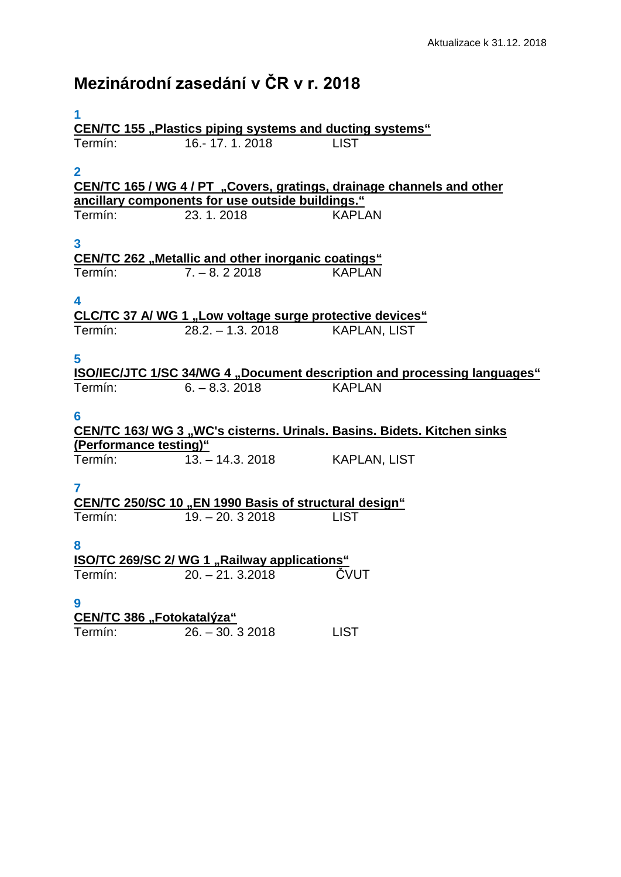## **Mezinárodní zasedání v ČR v r. 2018**

| 1                                                                     |                                                           |                                                                          |  |  |
|-----------------------------------------------------------------------|-----------------------------------------------------------|--------------------------------------------------------------------------|--|--|
| <b>CEN/TC 155 "Plastics piping systems and ducting systems"</b>       |                                                           |                                                                          |  |  |
| Termín:                                                               | 16.-17.1.2018                                             | <b>LIST</b>                                                              |  |  |
|                                                                       |                                                           |                                                                          |  |  |
| $\overline{2}$                                                        |                                                           |                                                                          |  |  |
| CEN/TC 165 / WG 4 / PT "Covers, gratings, drainage channels and other |                                                           |                                                                          |  |  |
| ancillary components for use outside buildings."                      |                                                           |                                                                          |  |  |
| Termín:                                                               | 23.1.2018                                                 | <b>KAPLAN</b>                                                            |  |  |
|                                                                       |                                                           |                                                                          |  |  |
| 3                                                                     |                                                           |                                                                          |  |  |
|                                                                       | <b>CEN/TC 262 "Metallic and other inorganic coatings"</b> |                                                                          |  |  |
| Termín:                                                               | $7. - 8.22018$                                            | <b>KAPLAN</b>                                                            |  |  |
|                                                                       |                                                           |                                                                          |  |  |
| 4                                                                     |                                                           |                                                                          |  |  |
|                                                                       | CLC/TC 37 A/ WG 1 "Low voltage surge protective devices"  |                                                                          |  |  |
| Termín:                                                               | $28.2 - 1.3$ . 2018                                       | <b>KAPLAN, LIST</b>                                                      |  |  |
|                                                                       |                                                           |                                                                          |  |  |
|                                                                       |                                                           |                                                                          |  |  |
| 5                                                                     |                                                           |                                                                          |  |  |
|                                                                       |                                                           | ISO/IEC/JTC 1/SC 34/WG 4 "Document description and processing languages" |  |  |
| Termín:                                                               | $6. - 8.3. 2018$                                          | <b>KAPLAN</b>                                                            |  |  |
|                                                                       |                                                           |                                                                          |  |  |
| 6                                                                     |                                                           |                                                                          |  |  |
|                                                                       |                                                           | CEN/TC 163/ WG 3 "WC's cisterns. Urinals. Basins. Bidets. Kitchen sinks  |  |  |
| (Performance testing)"                                                |                                                           |                                                                          |  |  |
| Termín:                                                               | $13. - 14.3.2018$                                         | <b>KAPLAN, LIST</b>                                                      |  |  |
|                                                                       |                                                           |                                                                          |  |  |
| 7                                                                     |                                                           |                                                                          |  |  |
|                                                                       | CEN/TC 250/SC 10 "EN 1990 Basis of structural design"     |                                                                          |  |  |
| Termín:                                                               | $19. - 20.32018$                                          | <b>LIST</b>                                                              |  |  |
|                                                                       |                                                           |                                                                          |  |  |
| 8                                                                     |                                                           |                                                                          |  |  |
| <b>ISO/TC 269/SC 2/ WG 1 "Railway applications"</b>                   |                                                           |                                                                          |  |  |
| I ermin:                                                              | $20. - 21.3.2018$                                         | ČVUT                                                                     |  |  |
|                                                                       |                                                           |                                                                          |  |  |
| 9                                                                     |                                                           |                                                                          |  |  |
| CEN/TC 386 "Fotokatalýza"                                             |                                                           |                                                                          |  |  |
| Termín:                                                               | $26. - 30.32018$                                          | <b>LIST</b>                                                              |  |  |
|                                                                       |                                                           |                                                                          |  |  |
|                                                                       |                                                           |                                                                          |  |  |
|                                                                       |                                                           |                                                                          |  |  |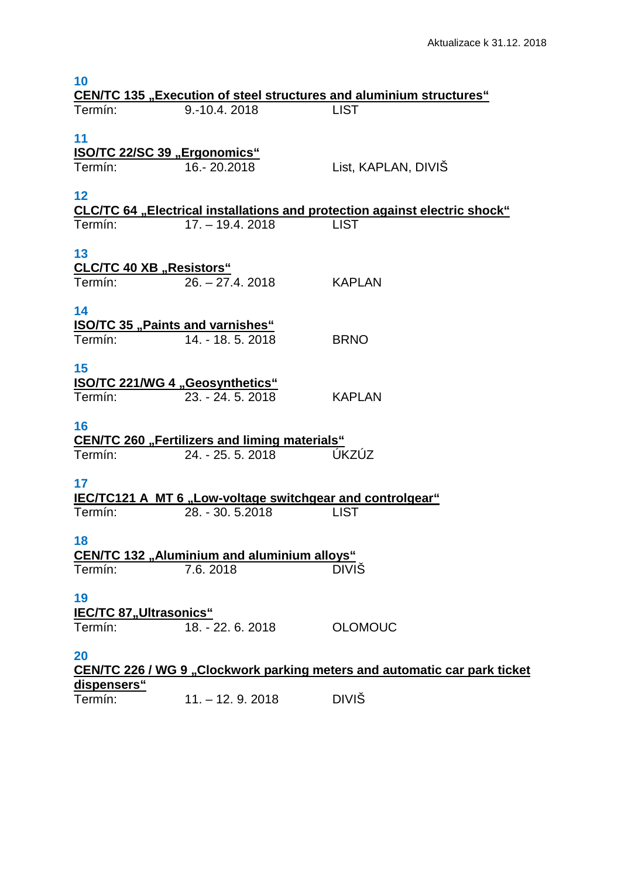| 10                                                                        |                                                                  |                                                                                           |  |  |
|---------------------------------------------------------------------------|------------------------------------------------------------------|-------------------------------------------------------------------------------------------|--|--|
| Termín:                                                                   | 9.-10.4.2018                                                     | <b>CEN/TC 135 "Execution of steel structures and aluminium structures"</b><br><b>LIST</b> |  |  |
|                                                                           |                                                                  |                                                                                           |  |  |
| 11                                                                        |                                                                  |                                                                                           |  |  |
| <b>ISO/TC 22/SC 39 "Ergonomics"</b>                                       |                                                                  |                                                                                           |  |  |
| Termín:                                                                   | 16.-20.2018                                                      | List, KAPLAN, DIVIS                                                                       |  |  |
|                                                                           |                                                                  |                                                                                           |  |  |
| 12                                                                        |                                                                  |                                                                                           |  |  |
|                                                                           |                                                                  | <b>CLC/TC 64</b> "Electrical installations and protection against electric shock"         |  |  |
| Termín:                                                                   | $17. - 19.4.2018$                                                | <b>LIST</b>                                                                               |  |  |
|                                                                           |                                                                  |                                                                                           |  |  |
| 13                                                                        |                                                                  |                                                                                           |  |  |
| <b>CLC/TC 40 XB "Resistors"</b>                                           |                                                                  |                                                                                           |  |  |
| Termín:                                                                   | $26. - 27.4.2018$                                                | <b>KAPLAN</b>                                                                             |  |  |
| 14                                                                        |                                                                  |                                                                                           |  |  |
| <b>ISO/TC 35 "Paints and varnishes"</b>                                   |                                                                  |                                                                                           |  |  |
| Termín:                                                                   | 14. - 18. 5. 2018                                                | <b>BRNO</b>                                                                               |  |  |
|                                                                           |                                                                  |                                                                                           |  |  |
| 15                                                                        |                                                                  |                                                                                           |  |  |
| <b>ISO/TC 221/WG 4 "Geosynthetics"</b>                                    |                                                                  |                                                                                           |  |  |
| Termín:                                                                   | 23. - 24. 5. 2018                                                | <b>KAPLAN</b>                                                                             |  |  |
|                                                                           |                                                                  |                                                                                           |  |  |
| 16                                                                        |                                                                  |                                                                                           |  |  |
|                                                                           | <b>CEN/TC 260 "Fertilizers and liming materials"</b>             |                                                                                           |  |  |
| Termín:                                                                   | 24. - 25. 5. 2018                                                | ÚKZÚZ                                                                                     |  |  |
|                                                                           |                                                                  |                                                                                           |  |  |
| 17                                                                        |                                                                  |                                                                                           |  |  |
|                                                                           | <b>IEC/TC121 A MT 6 "Low-voltage switchgear and controlgear"</b> |                                                                                           |  |  |
| Termín:                                                                   | 28. - 30. 5.2018                                                 | <b>LIST</b>                                                                               |  |  |
|                                                                           |                                                                  |                                                                                           |  |  |
| 18                                                                        |                                                                  |                                                                                           |  |  |
| Termín:                                                                   | <b>CEN/TC 132 "Aluminium and aluminium alloys"</b><br>7.6.2018   | <b>DIVIS</b>                                                                              |  |  |
|                                                                           |                                                                  |                                                                                           |  |  |
| 19                                                                        |                                                                  |                                                                                           |  |  |
| <b>IEC/TC 87,, Ultrasonics"</b>                                           |                                                                  |                                                                                           |  |  |
| Termín:                                                                   | 18. - 22. 6. 2018                                                | <b>OLOMOUC</b>                                                                            |  |  |
|                                                                           |                                                                  |                                                                                           |  |  |
| 20                                                                        |                                                                  |                                                                                           |  |  |
| CEN/TC 226 / WG 9 "Clockwork parking meters and automatic car park ticket |                                                                  |                                                                                           |  |  |
| <u>dispensers"</u>                                                        |                                                                  |                                                                                           |  |  |
| Termín:                                                                   | $11. - 12.9.2018$                                                | <b>DIVIŠ</b>                                                                              |  |  |
|                                                                           |                                                                  |                                                                                           |  |  |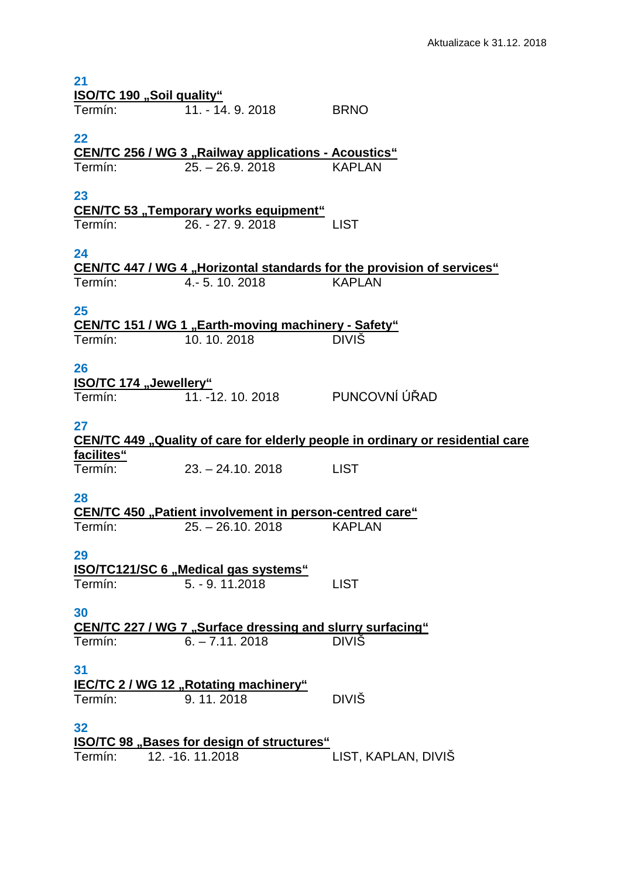| 21<br><b>ISO/TC 190 "Soil quality"</b>                            |                                                                          |                                                                                |  |  |
|-------------------------------------------------------------------|--------------------------------------------------------------------------|--------------------------------------------------------------------------------|--|--|
| Termín:                                                           | 11. - 14. 9. 2018                                                        | <b>BRNO</b>                                                                    |  |  |
| 22<br><b>CEN/TC 256 / WG 3 "Railway applications - Acoustics"</b> |                                                                          |                                                                                |  |  |
| Termín:                                                           | $25. - 26.9. 2018$                                                       | KAPLAN                                                                         |  |  |
| 23                                                                | <b>CEN/TC 53 "Temporary works equipment"</b>                             |                                                                                |  |  |
| Termín:                                                           | 26. - 27. 9. 2018                                                        | LIST                                                                           |  |  |
| 24                                                                |                                                                          | <b>CEN/TC 447 / WG 4 "Horizontal standards for the provision of services"</b>  |  |  |
| Termín:                                                           | 4. - 5. 10. 2018                                                         | <b>KAPLAN</b>                                                                  |  |  |
| 25                                                                |                                                                          |                                                                                |  |  |
| Termín:                                                           | <b>CEN/TC 151 / WG 1 "Earth-moving machinery - Safety"</b><br>10.10.2018 | <b>DIVIŠ</b>                                                                   |  |  |
| 26                                                                |                                                                          |                                                                                |  |  |
| lSO/TC 174 "Jewellery"<br>Termín:                                 | 11. -12. 10. 2018                                                        | PUNCOVNÍ ÚŘAD                                                                  |  |  |
| 27                                                                |                                                                          | CEN/TC 449 "Quality of care for elderly people in ordinary or residential care |  |  |
| facilites"                                                        |                                                                          |                                                                                |  |  |
| Termín:                                                           | $23. - 24.10, 2018$                                                      | <b>LIST</b>                                                                    |  |  |
| 28                                                                | <b>CEN/TC 450 "Patient involvement in person-centred care"</b>           |                                                                                |  |  |
| Termín:                                                           | $25. - 26.10, 2018$                                                      | <b>KAPLAN</b>                                                                  |  |  |
| 29                                                                | <b>ISO/TC121/SC 6 "Medical gas systems"</b>                              |                                                                                |  |  |
| Termín:                                                           | $5. - 9.11.2018$                                                         | <b>LIST</b>                                                                    |  |  |
| 30                                                                | <b>CEN/TC 227 / WG 7 "Surface dressing and slurry surfacing"</b>         |                                                                                |  |  |
| Termín:                                                           | $6. - 7.11.2018$                                                         | <b>DIVIS</b>                                                                   |  |  |
| 31                                                                | <b>IEC/TC 2/ WG 12 "Rotating machinery"</b>                              |                                                                                |  |  |
| Termín:                                                           | 9.11.2018                                                                | <b>DIVIŠ</b>                                                                   |  |  |
| 32                                                                | <b>ISO/TC 98</b> "Bases for design of structures"                        |                                                                                |  |  |
| Termín:                                                           | 12. - 16. 11. 2018                                                       | LIST, KAPLAN, DIVIŠ                                                            |  |  |